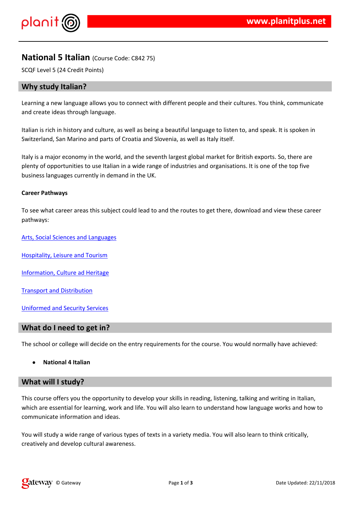$!$  " # \$  $\%$  % &

. \$%&%%&(%&\$\$\$%&/%\$**\$**&\$%&,<del>&</del>)%+&%&<br>%0\$&,&&1%&%\$&#&%,\$\$.\$%\$)

 $1$  % & \$ & \$ % & % & \$ ()

6 (  $/2$  (  $\%$  '  $\frac{1}{2}$  (  $/2$  (  $/2$  (  $/2$  )  $/2$  )  $/2$  (  $/2$  )  $/2$  )  $/2$  (  $/2$  )  $/2$  (  $/2$  )  $/2$  (  $/2$  )  $/2$  )  $/2$  (  $/2$  )  $/2$  )  $/2$  (  $/2$  )  $/2$  )  $/2$  (  $/2$  )  $/2$  )  $/2$  (  $/2$  )  $/2$  )  $/2$  (  $/$  $\sqrt{2}$ 

 $7,$   $\frac{9}{6}\%$ \$ &  $\frac{1}{6}$  &

8 % \$% . "8% % -&

 $.8 - \% 8, \quad$  \$ 8 %

6 & 8 % %/ % &

 $8\%$  -  $8'$  '% #%'

6 ( ' (  $\sqrt[3]{5}$   $\sqrt[3]{5}$   $\sqrt[3]{5}$   $\sqrt[3]{5}$   $\sqrt[3]{5}$   $\sqrt[3]{5}$   $\sqrt[3]{5}$   $\sqrt[3]{5}$   $\sqrt[3]{5}$   $\sqrt[3]{5}$   $\sqrt[3]{5}$   $\sqrt[3]{5}$   $\sqrt[3]{5}$   $\sqrt[3]{5}$   $\sqrt[3]{5}$   $\sqrt[3]{5}$   $\sqrt[3]{5}$   $\sqrt[3]{5}$   $\sqrt[3]{5}$   $\sqrt[3]{5}$   $\sqrt[3]{5}$   $\sqrt[3$ 

 $6(%')$ (&%#\$+%\$\$%&%&,\$%<br>%&&\$+%}%\$\$\$\$&&&\$& %&,\$%&%&&\$%**\$**  $( %' ( )$ & \$% \$& % & % \$ \$% % \$\$\$ \$  $+$  (  $\&$  $' - - 8 \%$ %& -& %%&)

 $\%$ # %& 4 %& % - %) \* %\$\$\$&\$(%&+ '% %' \*  $% $$ \$  $\mathbf{E}^{\text{max}}$ %#\$&'**\$**\$\$&)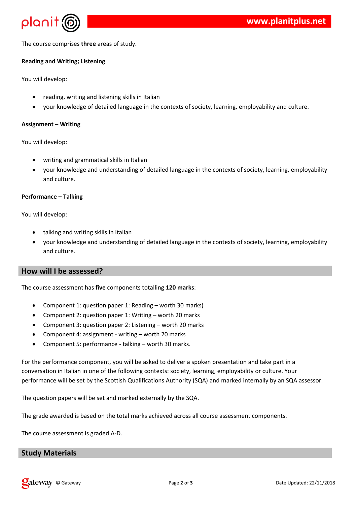

The course comprises **three** areas of study.

### **Reading and Writing; Listening**

You will develop:

- reading, writing and listening skills in Italian
- your knowledge of detailed language in the contexts of society, learning, employability and culture.

#### **Assignment – Writing**

You will develop:

- writing and grammatical skills in Italian
- your knowledge and understanding of detailed language in the contexts of society, learning, employability and culture.

#### **Performance – Talking**

You will develop:

- talking and writing skills in Italian
- your knowledge and understanding of detailed language in the contexts of society, learning, employability and culture.

# **How will I be assessed?**

The course assessment has **five** components totalling **120 marks**:

- Component 1: question paper 1: Reading worth 30 marks)
- Component 2: question paper 1: Writing worth 20 marks
- Component 3: question paper 2: Listening worth 20 marks
- Component 4: assignment writing worth 20 marks
- Component 5: performance talking worth 30 marks.

For the performance component, you will be asked to deliver a spoken presentation and take part in a conversation in Italian in one of the following contexts: society, learning, employability or culture. Your performance will be set by the Scottish Qualifications Authority (SQA) and marked internally by an SQA assessor.

The question papers will be set and marked externally by the SQA.

The grade awarded is based on the total marks achieved across all course assessment components.

The course assessment is graded A-D.

## **Study Materials**